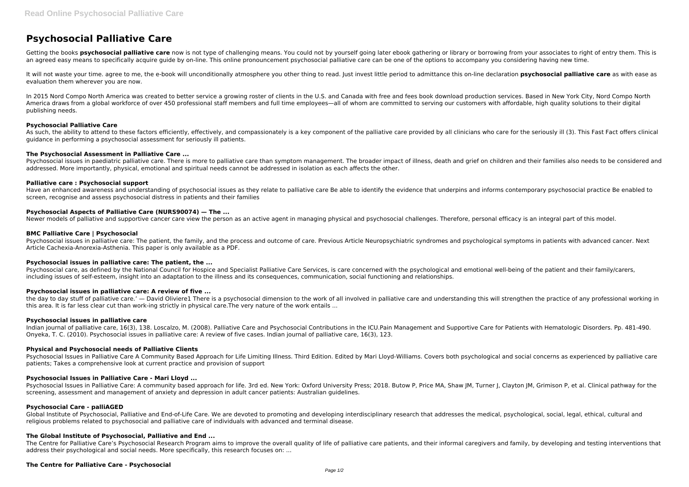# **Psychosocial Palliative Care**

Getting the books **psychosocial palliative care** now is not type of challenging means. You could not by yourself going later ebook gathering or library or borrowing from your associates to right of entry them. This is an agreed easy means to specifically acquire guide by on-line. This online pronouncement psychosocial palliative care can be one of the options to accompany you considering having new time.

It will not waste your time, agree to me, the e-book will unconditionally atmosphere you other thing to read, lust invest little period to admittance this on-line declaration psychosocial palliative care as with ease as evaluation them wherever you are now.

In 2015 Nord Compo North America was created to better service a growing roster of clients in the U.S. and Canada with free and fees book download production services. Based in New York City, Nord Compo North America draws from a global workforce of over 450 professional staff members and full time employees—all of whom are committed to serving our customers with affordable, high quality solutions to their digital publishing needs.

As such, the ability to attend to these factors efficiently, effectively, and compassionately is a key component of the palliative care provided by all clinicians who care for the seriously ill (3). This Fast Fact offers c guidance in performing a psychosocial assessment for seriously ill patients.

Psychosocial issues in paediatric palliative care. There is more to palliative care than symptom management. The broader impact of illness, death and grief on children and their families also needs to be considered and addressed. More importantly, physical, emotional and spiritual needs cannot be addressed in isolation as each affects the other.

# **Psychosocial Palliative Care**

Psychosocial issues in palliative care: The patient, the family, and the process and outcome of care. Previous Article Neuropsychiatric syndromes and psychological symptoms in patients with advanced cancer. Next Article Cachexia-Anorexia-Asthenia. This paper is only available as a PDF.

# **The Psychosocial Assessment in Palliative Care ...**

the day to day stuff of palliative care.' — David Oliviere1 There is a psychosocial dimension to the work of all involved in palliative care and understanding this will strengthen the practice of any professional working i this area. It is far less clear cut than work-ing strictly in physical care.The very nature of the work entails ...

## **Palliative care : Psychosocial support**

Have an enhanced awareness and understanding of psychosocial issues as they relate to palliative care Be able to identify the evidence that underpins and informs contemporary psychosocial practice Be enabled to screen, recognise and assess psychosocial distress in patients and their families

Psychosocial Issues in Palliative Care A Community Based Approach for Life Limiting Illness. Third Edition. Edited by Mari Lloyd-Williams. Covers both psychological and social concerns as experienced by palliative care patients; Takes a comprehensive look at current practice and provision of support

# **Psychosocial Aspects of Palliative Care (NURS90074) — The ...**

Newer models of palliative and supportive cancer care view the person as an active agent in managing physical and psychosocial challenges. Therefore, personal efficacy is an integral part of this model.

Psychosocial Issues in Palliative Care: A community based approach for life. 3rd ed. New York: Oxford University Press; 2018. Butow P, Price MA, Shaw JM, Turner J, Clayton JM, Grimison P, et al. Clinical pathway for the screening, assessment and management of anxiety and depression in adult cancer patients: Australian guidelines.

# **BMC Palliative Care | Psychosocial**

Global Institute of Psychosocial, Palliative and End-of-Life Care. We are devoted to promoting and developing interdisciplinary research that addresses the medical, psychological, social, legal, ethical, cultural and religious problems related to psychosocial and palliative care of individuals with advanced and terminal disease.

## **Psychosocial issues in palliative care: The patient, the ...**

Psychosocial care, as defined by the National Council for Hospice and Specialist Palliative Care Services, is care concerned with the psychological and emotional well-being of the patient and their family/carers, including issues of self-esteem, insight into an adaptation to the illness and its consequences, communication, social functioning and relationships.

## **Psychosocial issues in palliative care: A review of five ...**

## **Psychosocial issues in palliative care**

Indian journal of palliative care, 16(3), 138. Loscalzo, M. (2008). Palliative Care and Psychosocial Contributions in the ICU.Pain Management and Supportive Care for Patients with Hematologic Disorders. Pp. 481-490. Onyeka, T. C. (2010). Psychosocial issues in palliative care: A review of five cases. Indian journal of palliative care, 16(3), 123.

## **Physical and Psychosocial needs of Palliative Clients**

## **Psychosocial Issues in Palliative Care - Mari Lloyd ...**

## **Psychosocial Care - palliAGED**

## **The Global Institute of Psychosocial, Palliative and End ...**

The Centre for Palliative Care's Psychosocial Research Program aims to improve the overall quality of life of palliative care patients, and their informal caregivers and family, by developing and testing interventions that address their psychological and social needs. More specifically, this research focuses on: ...

# **The Centre for Palliative Care - Psychosocial**